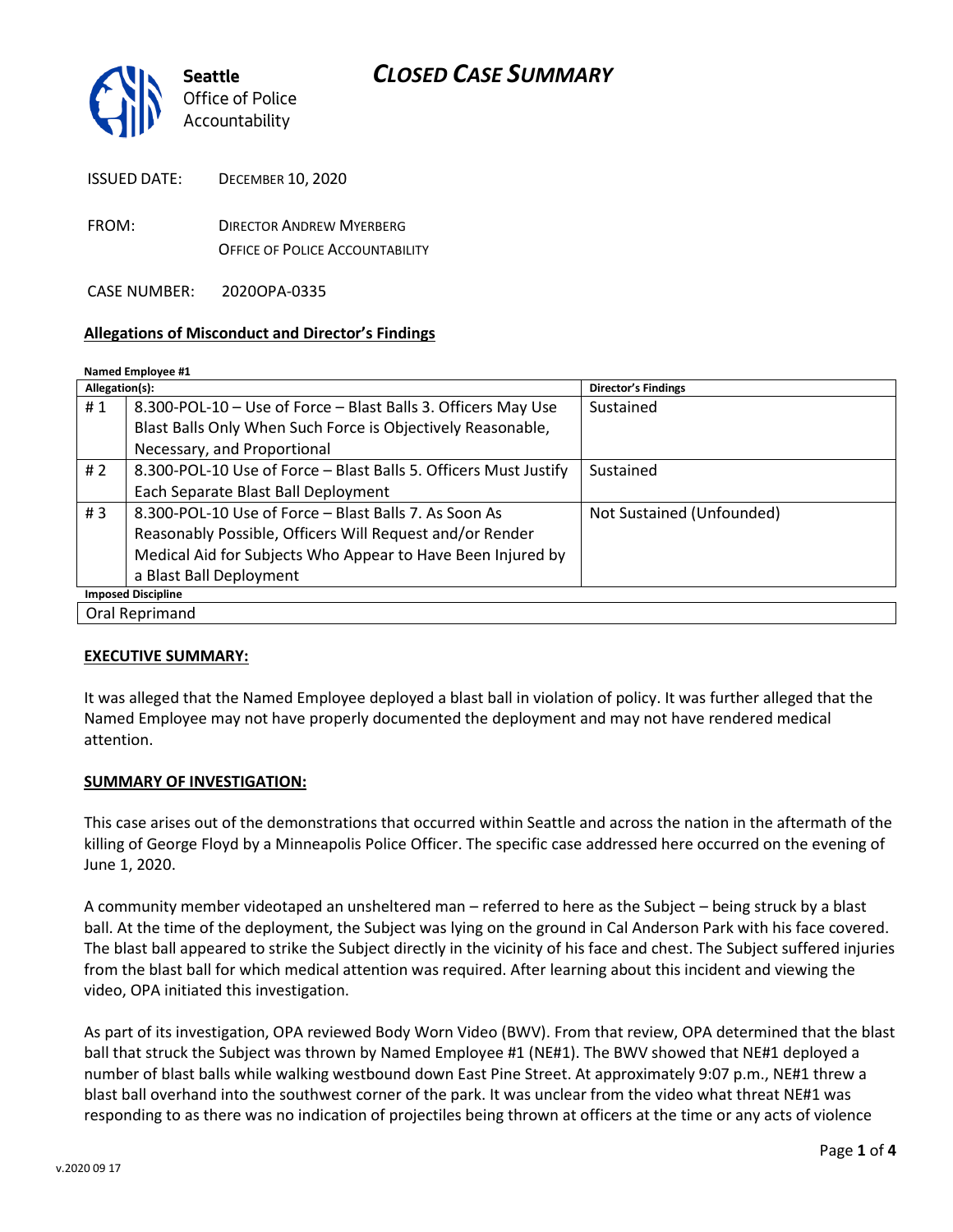

| ISSUED DATE: | DECEMBER 10, 2020                      |
|--------------|----------------------------------------|
| FROM:        | <b>DIRECTOR ANDREW MYERBERG</b>        |
|              | <b>OFFICE OF POLICE ACCOUNTABILITY</b> |

CASE NUMBER: 2020OPA-0335

### **Allegations of Misconduct and Director's Findings**

#### **Named Employee #1**

| Allegation(s):            |                                                                  | <b>Director's Findings</b> |  |
|---------------------------|------------------------------------------------------------------|----------------------------|--|
| #1                        | 8.300-POL-10 - Use of Force - Blast Balls 3. Officers May Use    | Sustained                  |  |
|                           | Blast Balls Only When Such Force is Objectively Reasonable,      |                            |  |
|                           | Necessary, and Proportional                                      |                            |  |
| # $2$                     | 8.300-POL-10 Use of Force - Blast Balls 5. Officers Must Justify | Sustained                  |  |
|                           | Each Separate Blast Ball Deployment                              |                            |  |
| #3                        | 8.300-POL-10 Use of Force - Blast Balls 7. As Soon As            | Not Sustained (Unfounded)  |  |
|                           | Reasonably Possible, Officers Will Request and/or Render         |                            |  |
|                           | Medical Aid for Subjects Who Appear to Have Been Injured by      |                            |  |
|                           | a Blast Ball Deployment                                          |                            |  |
| <b>Imposed Discipline</b> |                                                                  |                            |  |
| Oral Reprimand            |                                                                  |                            |  |

### **EXECUTIVE SUMMARY:**

It was alleged that the Named Employee deployed a blast ball in violation of policy. It was further alleged that the Named Employee may not have properly documented the deployment and may not have rendered medical attention.

### **SUMMARY OF INVESTIGATION:**

This case arises out of the demonstrations that occurred within Seattle and across the nation in the aftermath of the killing of George Floyd by a Minneapolis Police Officer. The specific case addressed here occurred on the evening of June 1, 2020.

A community member videotaped an unsheltered man – referred to here as the Subject – being struck by a blast ball. At the time of the deployment, the Subject was lying on the ground in Cal Anderson Park with his face covered. The blast ball appeared to strike the Subject directly in the vicinity of his face and chest. The Subject suffered injuries from the blast ball for which medical attention was required. After learning about this incident and viewing the video, OPA initiated this investigation.

As part of its investigation, OPA reviewed Body Worn Video (BWV). From that review, OPA determined that the blast ball that struck the Subject was thrown by Named Employee #1 (NE#1). The BWV showed that NE#1 deployed a number of blast balls while walking westbound down East Pine Street. At approximately 9:07 p.m., NE#1 threw a blast ball overhand into the southwest corner of the park. It was unclear from the video what threat NE#1 was responding to as there was no indication of projectiles being thrown at officers at the time or any acts of violence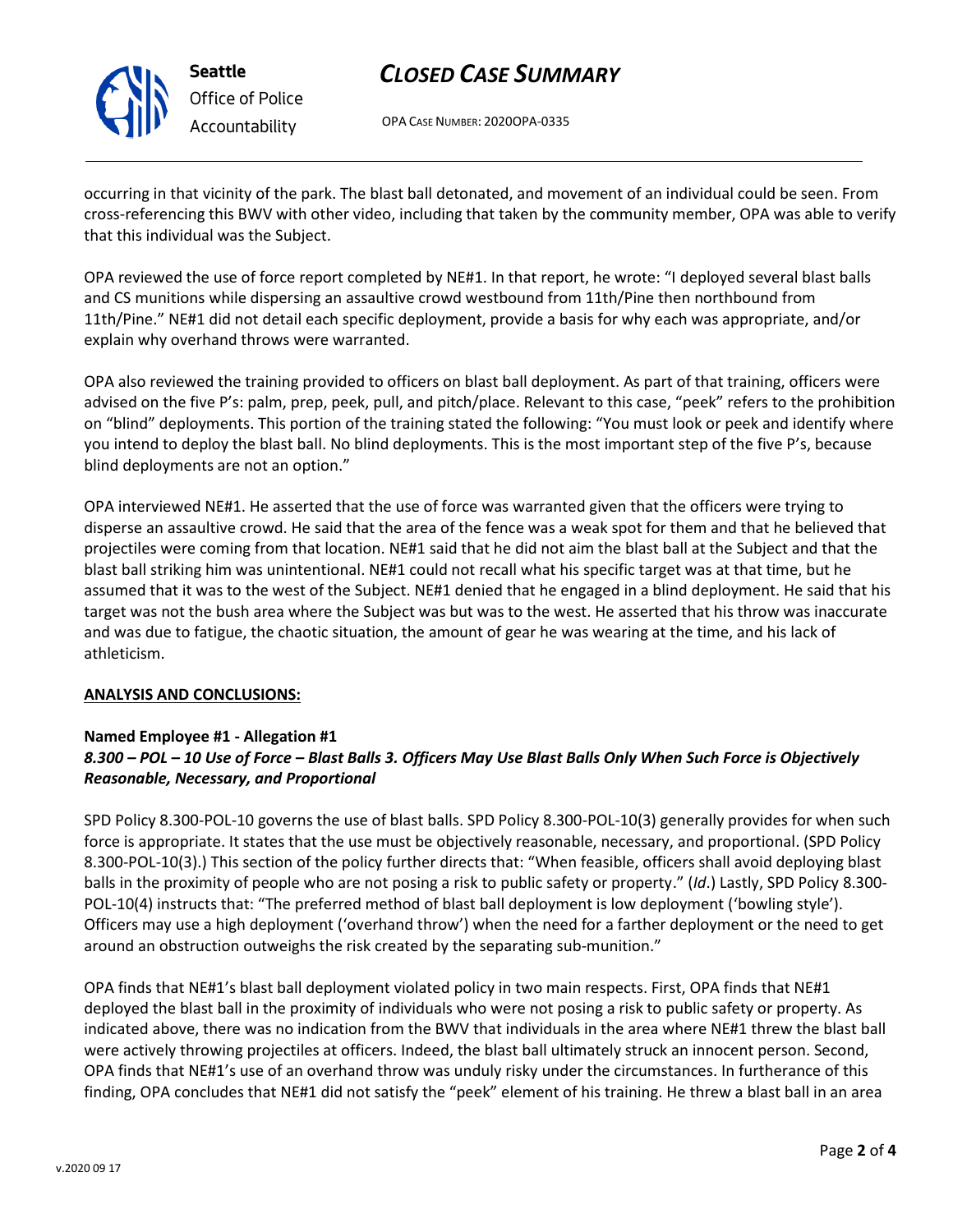

## *CLOSED CASE SUMMARY*

OPA CASE NUMBER: 2020OPA-0335

occurring in that vicinity of the park. The blast ball detonated, and movement of an individual could be seen. From cross-referencing this BWV with other video, including that taken by the community member, OPA was able to verify that this individual was the Subject.

OPA reviewed the use of force report completed by NE#1. In that report, he wrote: "I deployed several blast balls and CS munitions while dispersing an assaultive crowd westbound from 11th/Pine then northbound from 11th/Pine." NE#1 did not detail each specific deployment, provide a basis for why each was appropriate, and/or explain why overhand throws were warranted.

OPA also reviewed the training provided to officers on blast ball deployment. As part of that training, officers were advised on the five P's: palm, prep, peek, pull, and pitch/place. Relevant to this case, "peek" refers to the prohibition on "blind" deployments. This portion of the training stated the following: "You must look or peek and identify where you intend to deploy the blast ball. No blind deployments. This is the most important step of the five P's, because blind deployments are not an option."

OPA interviewed NE#1. He asserted that the use of force was warranted given that the officers were trying to disperse an assaultive crowd. He said that the area of the fence was a weak spot for them and that he believed that projectiles were coming from that location. NE#1 said that he did not aim the blast ball at the Subject and that the blast ball striking him was unintentional. NE#1 could not recall what his specific target was at that time, but he assumed that it was to the west of the Subject. NE#1 denied that he engaged in a blind deployment. He said that his target was not the bush area where the Subject was but was to the west. He asserted that his throw was inaccurate and was due to fatigue, the chaotic situation, the amount of gear he was wearing at the time, and his lack of athleticism.

### **ANALYSIS AND CONCLUSIONS:**

### **Named Employee #1 - Allegation #1**

### *8.300 – POL – 10 Use of Force – Blast Balls 3. Officers May Use Blast Balls Only When Such Force is Objectively Reasonable, Necessary, and Proportional*

SPD Policy 8.300-POL-10 governs the use of blast balls. SPD Policy 8.300-POL-10(3) generally provides for when such force is appropriate. It states that the use must be objectively reasonable, necessary, and proportional. (SPD Policy 8.300-POL-10(3).) This section of the policy further directs that: "When feasible, officers shall avoid deploying blast balls in the proximity of people who are not posing a risk to public safety or property." (*Id*.) Lastly, SPD Policy 8.300- POL-10(4) instructs that: "The preferred method of blast ball deployment is low deployment ('bowling style'). Officers may use a high deployment ('overhand throw') when the need for a farther deployment or the need to get around an obstruction outweighs the risk created by the separating sub-munition."

OPA finds that NE#1's blast ball deployment violated policy in two main respects. First, OPA finds that NE#1 deployed the blast ball in the proximity of individuals who were not posing a risk to public safety or property. As indicated above, there was no indication from the BWV that individuals in the area where NE#1 threw the blast ball were actively throwing projectiles at officers. Indeed, the blast ball ultimately struck an innocent person. Second, OPA finds that NE#1's use of an overhand throw was unduly risky under the circumstances. In furtherance of this finding, OPA concludes that NE#1 did not satisfy the "peek" element of his training. He threw a blast ball in an area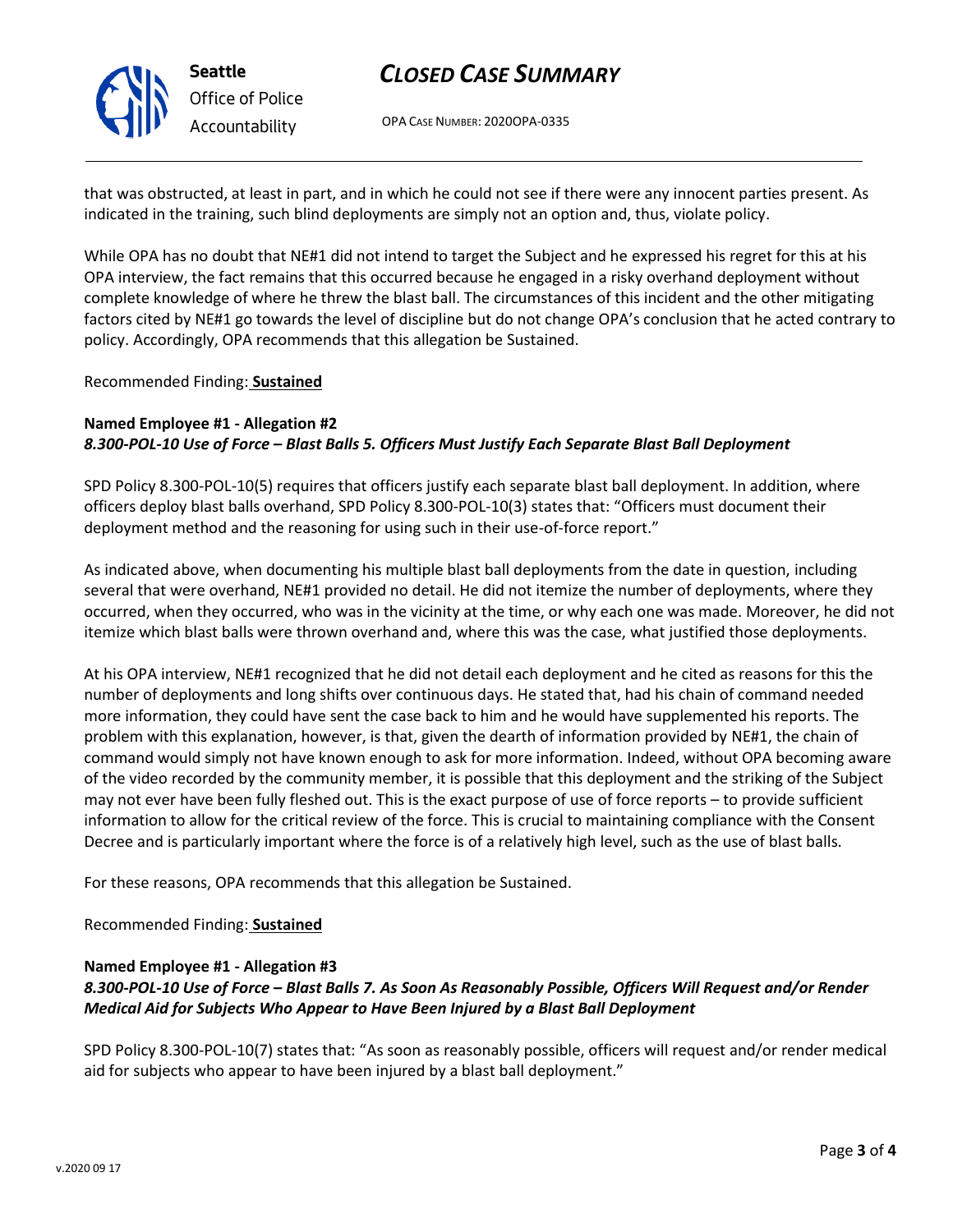

## **Seattle** *Office of Police Accountability*

## *CLOSED CASE SUMMARY*

OPA CASE NUMBER: 2020OPA-0335

that was obstructed, at least in part, and in which he could not see if there were any innocent parties present. As indicated in the training, such blind deployments are simply not an option and, thus, violate policy.

While OPA has no doubt that NE#1 did not intend to target the Subject and he expressed his regret for this at his OPA interview, the fact remains that this occurred because he engaged in a risky overhand deployment without complete knowledge of where he threw the blast ball. The circumstances of this incident and the other mitigating factors cited by NE#1 go towards the level of discipline but do not change OPA's conclusion that he acted contrary to policy. Accordingly, OPA recommends that this allegation be Sustained.

Recommended Finding: **Sustained**

### **Named Employee #1 - Allegation #2** *8.300-POL-10 Use of Force – Blast Balls 5. Officers Must Justify Each Separate Blast Ball Deployment*

SPD Policy 8.300-POL-10(5) requires that officers justify each separate blast ball deployment. In addition, where officers deploy blast balls overhand, SPD Policy 8.300-POL-10(3) states that: "Officers must document their deployment method and the reasoning for using such in their use-of-force report."

As indicated above, when documenting his multiple blast ball deployments from the date in question, including several that were overhand, NE#1 provided no detail. He did not itemize the number of deployments, where they occurred, when they occurred, who was in the vicinity at the time, or why each one was made. Moreover, he did not itemize which blast balls were thrown overhand and, where this was the case, what justified those deployments.

At his OPA interview, NE#1 recognized that he did not detail each deployment and he cited as reasons for this the number of deployments and long shifts over continuous days. He stated that, had his chain of command needed more information, they could have sent the case back to him and he would have supplemented his reports. The problem with this explanation, however, is that, given the dearth of information provided by NE#1, the chain of command would simply not have known enough to ask for more information. Indeed, without OPA becoming aware of the video recorded by the community member, it is possible that this deployment and the striking of the Subject may not ever have been fully fleshed out. This is the exact purpose of use of force reports – to provide sufficient information to allow for the critical review of the force. This is crucial to maintaining compliance with the Consent Decree and is particularly important where the force is of a relatively high level, such as the use of blast balls.

For these reasons, OPA recommends that this allegation be Sustained.

### Recommended Finding: **Sustained**

### **Named Employee #1 - Allegation #3**

### *8.300-POL-10 Use of Force – Blast Balls 7. As Soon As Reasonably Possible, Officers Will Request and/or Render Medical Aid for Subjects Who Appear to Have Been Injured by a Blast Ball Deployment*

SPD Policy 8.300-POL-10(7) states that: "As soon as reasonably possible, officers will request and/or render medical aid for subjects who appear to have been injured by a blast ball deployment."